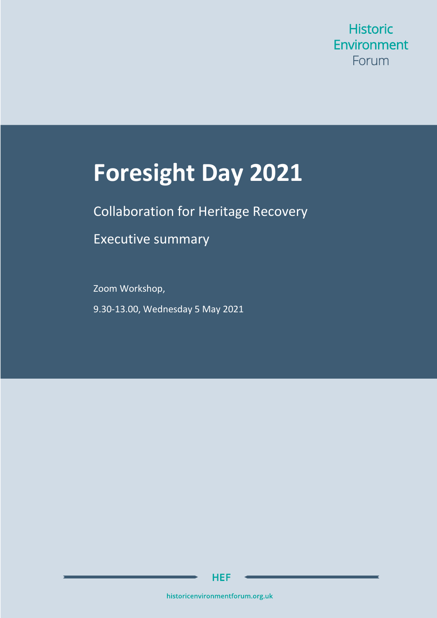**Historic** Environment Forum

# **Foresight Day 2021**

Collaboration for Heritage Recovery

Executive summary

Zoom Workshop, 9.30-13.00, Wednesday 5 May 2021

**HEF** 

historicenvironmentforum.org.uk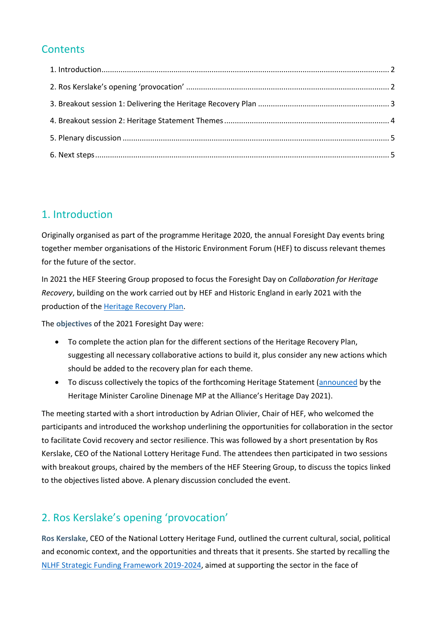### **Contents**

## <span id="page-1-0"></span>1. Introduction

Originally organised as part of the programme Heritage 2020, the annual Foresight Day events bring together member organisations of the Historic Environment Forum (HEF) to discuss relevant themes for the future of the sector.

In 2021 the HEF Steering Group proposed to focus the Foresight Day on *Collaboration for Heritage Recovery*, building on the work carried out by HEF and Historic England in early 2021 with the production of the [Heritage Recovery Plan.](https://historicenvironmentforum.org.uk/wp-content/uploads/2021/03/Heritage-Recovery-Plan-FINAL-100221-.pdf)

The **objectives** of the 2021 Foresight Day were:

- To complete the action plan for the different sections of the Heritage Recovery Plan, suggesting all necessary collaborative actions to build it, plus consider any new actions which should be added to the recovery plan for each theme.
- To discuss collectively the topics of the forthcoming Heritage Statement [\(announced](https://twitter.com/Heritage_NGOs/status/1385187358623125505) by the Heritage Minister Caroline Dinenage MP at the Alliance's Heritage Day 2021).

The meeting started with a short introduction by Adrian Olivier, Chair of HEF, who welcomed the participants and introduced the workshop underlining the opportunities for collaboration in the sector to facilitate Covid recovery and sector resilience. This was followed by a short presentation by Ros Kerslake, CEO of the National Lottery Heritage Fund. The attendees then participated in two sessions with breakout groups, chaired by the members of the HEF Steering Group, to discuss the topics linked to the objectives listed above. A plenary discussion concluded the event.

# <span id="page-1-1"></span>2. Ros Kerslake's opening 'provocation'

**Ros Kerslake**, CEO of the National Lottery Heritage Fund, outlined the current cultural, social, political and economic context, and the opportunities and threats that it presents. She started by recalling the [NLHF Strategic Funding Framework 2019-2024,](https://www.heritagefund.org.uk/about/strategic-funding-framework-2019-2024) aimed at supporting the sector in the face of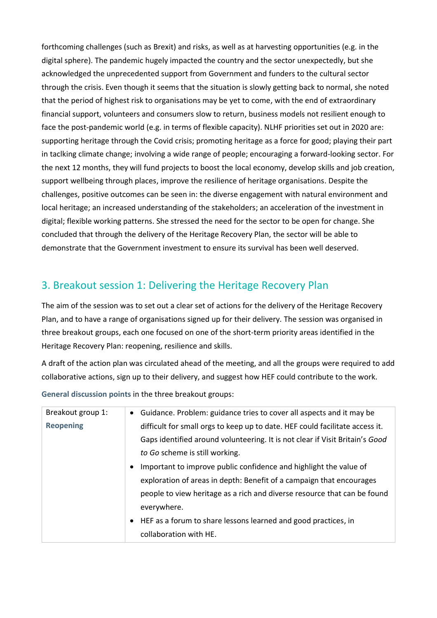forthcoming challenges (such as Brexit) and risks, as well as at harvesting opportunities (e.g. in the digital sphere). The pandemic hugely impacted the country and the sector unexpectedly, but she acknowledged the unprecedented support from Government and funders to the cultural sector through the crisis. Even though it seems that the situation is slowly getting back to normal, she noted that the period of highest risk to organisations may be yet to come, with the end of extraordinary financial support, volunteers and consumers slow to return, business models not resilient enough to face the post-pandemic world (e.g. in terms of flexible capacity). NLHF priorities set out in 2020 are: supporting heritage through the Covid crisis; promoting heritage as a force for good; playing their part in taclking climate change; involving a wide range of people; encouraging a forward-looking sector. For the next 12 months, they will fund projects to boost the local economy, develop skills and job creation, support wellbeing through places, improve the resilience of heritage organisations. Despite the challenges, positive outcomes can be seen in: the diverse engagement with natural environment and local heritage; an increased understanding of the stakeholders; an acceleration of the investment in digital; flexible working patterns. She stressed the need for the sector to be open for change. She concluded that through the delivery of the Heritage Recovery Plan, the sector will be able to demonstrate that the Government investment to ensure its survival has been well deserved.

#### <span id="page-2-0"></span>3. Breakout session 1: Delivering the Heritage Recovery Plan

The aim of the session was to set out a clear set of actions for the delivery of the Heritage Recovery Plan, and to have a range of organisations signed up for their delivery. The session was organised in three breakout groups, each one focused on one of the short-term priority areas identified in the Heritage Recovery Plan: reopening, resilience and skills.

A draft of the action plan was circulated ahead of the meeting, and all the groups were required to add collaborative actions, sign up to their delivery, and suggest how HEF could contribute to the work.

| Breakout group 1: | • Guidance. Problem: guidance tries to cover all aspects and it may be         |
|-------------------|--------------------------------------------------------------------------------|
| <b>Reopening</b>  | difficult for small orgs to keep up to date. HEF could facilitate access it.   |
|                   | Gaps identified around volunteering. It is not clear if Visit Britain's Good   |
|                   | to Go scheme is still working.                                                 |
|                   | Important to improve public confidence and highlight the value of<br>$\bullet$ |
|                   | exploration of areas in depth: Benefit of a campaign that encourages           |
|                   | people to view heritage as a rich and diverse resource that can be found       |
|                   | everywhere.                                                                    |
|                   | • HEF as a forum to share lessons learned and good practices, in               |
|                   | collaboration with HE.                                                         |

**General discussion points** in the three breakout groups: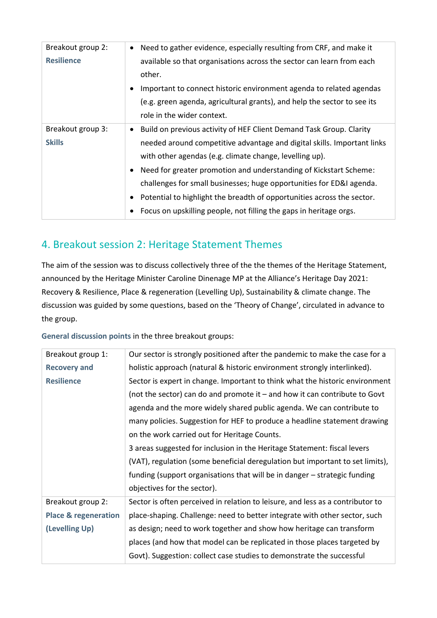| Breakout group 2:<br><b>Resilience</b> | Need to gather evidence, especially resulting from CRF, and make it<br>available so that organisations across the sector can learn from each<br>other.<br>Important to connect historic environment agenda to related agendas<br>(e.g. green agenda, agricultural grants), and help the sector to see its<br>role in the wider context.                                                                                                                                                                  |
|----------------------------------------|----------------------------------------------------------------------------------------------------------------------------------------------------------------------------------------------------------------------------------------------------------------------------------------------------------------------------------------------------------------------------------------------------------------------------------------------------------------------------------------------------------|
| Breakout group 3:<br><b>Skills</b>     | Build on previous activity of HEF Client Demand Task Group. Clarity<br>needed around competitive advantage and digital skills. Important links<br>with other agendas (e.g. climate change, levelling up).<br>• Need for greater promotion and understanding of Kickstart Scheme:<br>challenges for small businesses; huge opportunities for ED&I agenda.<br>Potential to highlight the breadth of opportunities across the sector.<br>Focus on upskilling people, not filling the gaps in heritage orgs. |

## <span id="page-3-0"></span>4. Breakout session 2: Heritage Statement Themes

The aim of the session was to discuss collectively three of the the themes of the Heritage Statement, announced by the Heritage Minister Caroline Dinenage MP at the Alliance's Heritage Day 2021: Recovery & Resilience, Place & regeneration (Levelling Up), Sustainability & climate change. The discussion was guided by some questions, based on the 'Theory of Change', circulated in advance to the group.

**General discussion points** in the three breakout groups:

| Breakout group 1:               | Our sector is strongly positioned after the pandemic to make the case for a    |
|---------------------------------|--------------------------------------------------------------------------------|
| <b>Recovery and</b>             | holistic approach (natural & historic environment strongly interlinked).       |
| <b>Resilience</b>               | Sector is expert in change. Important to think what the historic environment   |
|                                 | (not the sector) can do and promote it $-$ and how it can contribute to Govt   |
|                                 | agenda and the more widely shared public agenda. We can contribute to          |
|                                 | many policies. Suggestion for HEF to produce a headline statement drawing      |
|                                 | on the work carried out for Heritage Counts.                                   |
|                                 | 3 areas suggested for inclusion in the Heritage Statement: fiscal levers       |
|                                 | (VAT), regulation (some beneficial deregulation but important to set limits),  |
|                                 | funding (support organisations that will be in danger - strategic funding      |
|                                 | objectives for the sector).                                                    |
| Breakout group 2:               | Sector is often perceived in relation to leisure, and less as a contributor to |
| <b>Place &amp; regeneration</b> | place-shaping. Challenge: need to better integrate with other sector, such     |
| (Levelling Up)                  | as design; need to work together and show how heritage can transform           |
|                                 | places (and how that model can be replicated in those places targeted by       |
|                                 | Govt). Suggestion: collect case studies to demonstrate the successful          |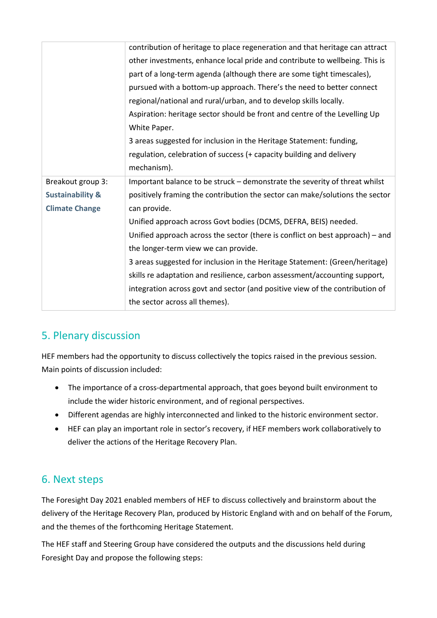|                             | contribution of heritage to place regeneration and that heritage can attract  |
|-----------------------------|-------------------------------------------------------------------------------|
|                             | other investments, enhance local pride and contribute to wellbeing. This is   |
|                             | part of a long-term agenda (although there are some tight timescales),        |
|                             | pursued with a bottom-up approach. There's the need to better connect         |
|                             | regional/national and rural/urban, and to develop skills locally.             |
|                             | Aspiration: heritage sector should be front and centre of the Levelling Up    |
|                             | White Paper.                                                                  |
|                             | 3 areas suggested for inclusion in the Heritage Statement: funding,           |
|                             | regulation, celebration of success (+ capacity building and delivery          |
|                             | mechanism).                                                                   |
| Breakout group 3:           | Important balance to be struck - demonstrate the severity of threat whilst    |
| <b>Sustainability &amp;</b> | positively framing the contribution the sector can make/solutions the sector  |
| <b>Climate Change</b>       | can provide.                                                                  |
|                             | Unified approach across Govt bodies (DCMS, DEFRA, BEIS) needed.               |
|                             | Unified approach across the sector (there is conflict on best approach) – and |
|                             | the longer-term view we can provide.                                          |
|                             | 3 areas suggested for inclusion in the Heritage Statement: (Green/heritage)   |
|                             | skills re adaptation and resilience, carbon assessment/accounting support,    |
|                             | integration across govt and sector (and positive view of the contribution of  |
|                             | the sector across all themes).                                                |

# <span id="page-4-0"></span>5. Plenary discussion

HEF members had the opportunity to discuss collectively the topics raised in the previous session. Main points of discussion included:

- The importance of a cross-departmental approach, that goes beyond built environment to include the wider historic environment, and of regional perspectives.
- Different agendas are highly interconnected and linked to the historic environment sector.
- HEF can play an important role in sector's recovery, if HEF members work collaboratively to deliver the actions of the Heritage Recovery Plan.

#### <span id="page-4-1"></span>6. Next steps

The Foresight Day 2021 enabled members of HEF to discuss collectively and brainstorm about the delivery of the Heritage Recovery Plan, produced by Historic England with and on behalf of the Forum, and the themes of the forthcoming Heritage Statement.

The HEF staff and Steering Group have considered the outputs and the discussions held during Foresight Day and propose the following steps: